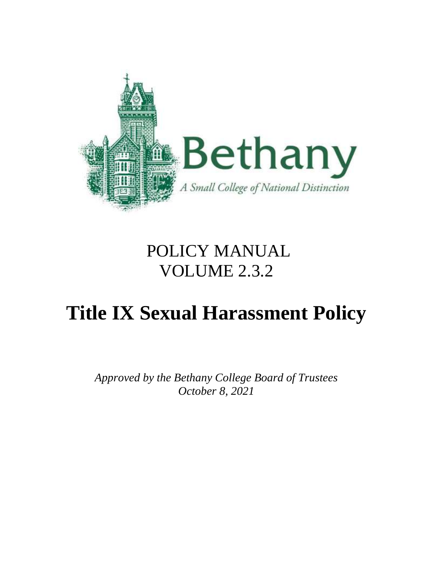

# POLICY MANUAL VOLUME 2.3.2

# **Title IX Sexual Harassment Policy**

*Approved by the Bethany College Board of Trustees October 8, 2021*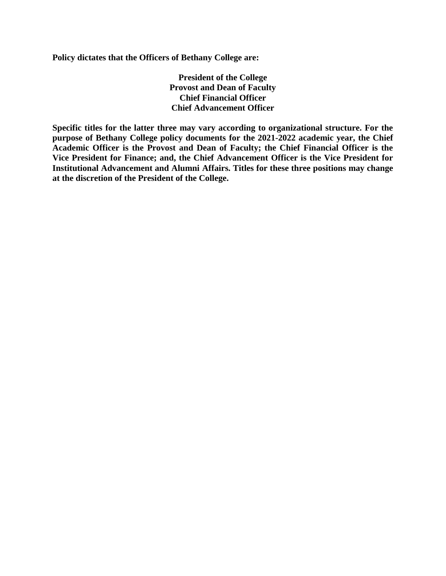**Policy dictates that the Officers of Bethany College are:**

**President of the College Provost and Dean of Faculty Chief Financial Officer Chief Advancement Officer**

**Specific titles for the latter three may vary according to organizational structure. For the purpose of Bethany College policy documents for the 2021-2022 academic year, the Chief Academic Officer is the Provost and Dean of Faculty; the Chief Financial Officer is the Vice President for Finance; and, the Chief Advancement Officer is the Vice President for Institutional Advancement and Alumni Affairs. Titles for these three positions may change at the discretion of the President of the College.**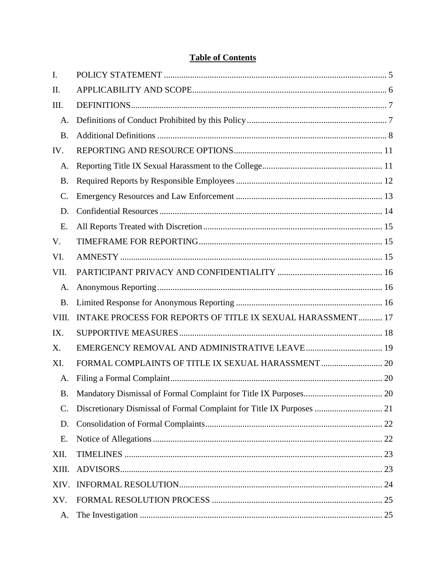# **Table of Contents**

| I.              |                                                             |  |
|-----------------|-------------------------------------------------------------|--|
| II.             |                                                             |  |
| Ш.              |                                                             |  |
| A.              |                                                             |  |
| <b>B.</b>       |                                                             |  |
| IV.             |                                                             |  |
| A.              |                                                             |  |
| <b>B.</b>       |                                                             |  |
| $\mathcal{C}$ . |                                                             |  |
| D.              |                                                             |  |
| Ε.              |                                                             |  |
| V.              |                                                             |  |
| VI.             |                                                             |  |
| VII.            |                                                             |  |
| A.              |                                                             |  |
| <b>B.</b>       |                                                             |  |
| VIII.           | INTAKE PROCESS FOR REPORTS OF TITLE IX SEXUAL HARASSMENT 17 |  |
| IX.             |                                                             |  |
| X.              |                                                             |  |
| XI.             |                                                             |  |
| A.              |                                                             |  |
| <b>B.</b>       |                                                             |  |
| $\mathbf{C}$ .  |                                                             |  |
| D.              |                                                             |  |
| Ε.              |                                                             |  |
| XII.            |                                                             |  |
| XIII.           |                                                             |  |
| XIV.            |                                                             |  |
|                 |                                                             |  |
| XV.             |                                                             |  |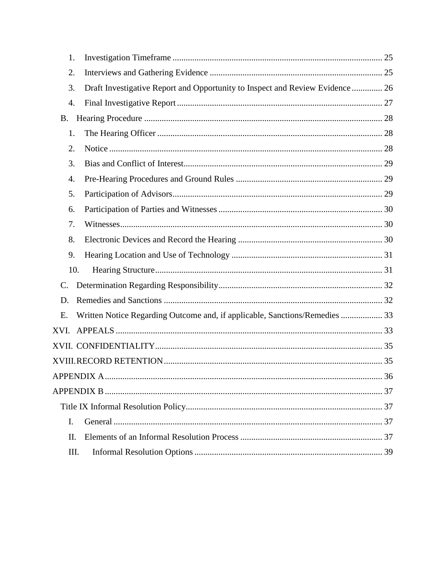| 1.   |                                                                               |  |
|------|-------------------------------------------------------------------------------|--|
| 2.   |                                                                               |  |
| 3.   | Draft Investigative Report and Opportunity to Inspect and Review Evidence  26 |  |
| 4.   |                                                                               |  |
| B.   |                                                                               |  |
| 1.   |                                                                               |  |
| 2.   |                                                                               |  |
| 3.   |                                                                               |  |
| 4.   |                                                                               |  |
| 5.   |                                                                               |  |
| 6.   |                                                                               |  |
| 7.   |                                                                               |  |
| 8.   |                                                                               |  |
| 9.   |                                                                               |  |
| 10.  |                                                                               |  |
| C.   |                                                                               |  |
| D.   |                                                                               |  |
| E.   | Written Notice Regarding Outcome and, if applicable, Sanctions/Remedies  33   |  |
| XVI. |                                                                               |  |
|      |                                                                               |  |
|      |                                                                               |  |
|      |                                                                               |  |
|      |                                                                               |  |
|      |                                                                               |  |
| I.   |                                                                               |  |
| Π.   |                                                                               |  |
| Ш.   |                                                                               |  |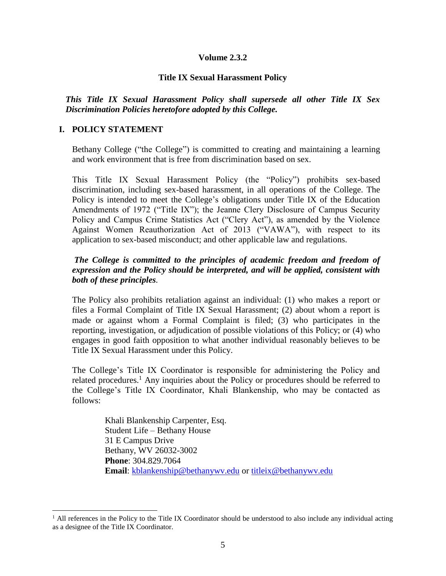#### **Volume 2.3.2**

#### **Title IX Sexual Harassment Policy**

*This Title IX Sexual Harassment Policy shall supersede all other Title IX Sex Discrimination Policies heretofore adopted by this College.*

#### <span id="page-4-0"></span>**I. POLICY STATEMENT**

l

Bethany College ("the College") is committed to creating and maintaining a learning and work environment that is free from discrimination based on sex.

This Title IX Sexual Harassment Policy (the "Policy") prohibits sex-based discrimination, including sex-based harassment, in all operations of the College. The Policy is intended to meet the College's obligations under Title IX of the Education Amendments of 1972 ("Title IX"); the Jeanne Clery Disclosure of Campus Security Policy and Campus Crime Statistics Act ("Clery Act"), as amended by the Violence Against Women Reauthorization Act of 2013 ("VAWA"), with respect to its application to sex-based misconduct; and other applicable law and regulations.

#### *The College is committed to the principles of academic freedom and freedom of expression and the Policy should be interpreted, and will be applied, consistent with both of these principles.*

The Policy also prohibits retaliation against an individual: (1) who makes a report or files a Formal Complaint of Title IX Sexual Harassment; (2) about whom a report is made or against whom a Formal Complaint is filed; (3) who participates in the reporting, investigation, or adjudication of possible violations of this Policy; or (4) who engages in good faith opposition to what another individual reasonably believes to be Title IX Sexual Harassment under this Policy.

The College's Title IX Coordinator is responsible for administering the Policy and related procedures.<sup>1</sup> Any inquiries about the Policy or procedures should be referred to the College's Title IX Coordinator, Khali Blankenship, who may be contacted as follows:

> Khali Blankenship Carpenter, Esq. Student Life – Bethany House 31 E Campus Drive Bethany, WV 26032-3002 **Phone**: 304.829.7064 **Email**: [kblankenship@bethanywv.edu](mailto:kblankenship@bethanywv.edu) or [titleix@bethanywv.edu](mailto:titleix@bethanywv.edu)

 $<sup>1</sup>$  All references in the Policy to the Title IX Coordinator should be understood to also include any individual acting</sup> as a designee of the Title IX Coordinator.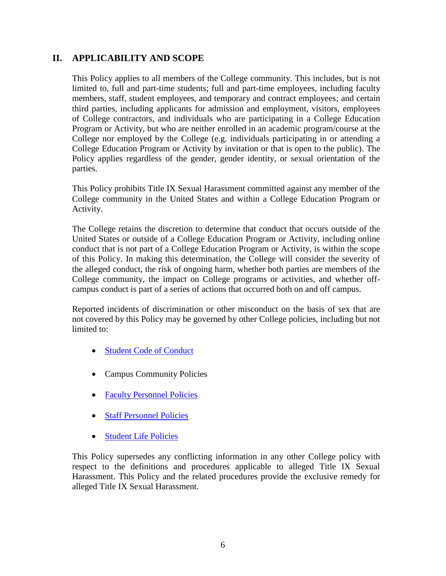# <span id="page-5-0"></span>**II. APPLICABILITY AND SCOPE**

This Policy applies to all members of the College community. This includes, but is not limited to, full and part-time students; full and part-time employees, including faculty members, staff, student employees, and temporary and contract employees; and certain third parties, including applicants for admission and employment, visitors, employees of College contractors, and individuals who are participating in a College Education Program or Activity, but who are neither enrolled in an academic program/course at the College nor employed by the College (e.g. individuals participating in or attending a College Education Program or Activity by invitation or that is open to the public). The Policy applies regardless of the gender, gender identity, or sexual orientation of the parties.

This Policy prohibits Title IX Sexual Harassment committed against any member of the College community in the United States and within a College Education Program or Activity.

The College retains the discretion to determine that conduct that occurs outside of the United States or outside of a College Education Program or Activity, including online conduct that is not part of a College Education Program or Activity, is within the scope of this Policy. In making this determination, the College will consider the severity of the alleged conduct, the risk of ongoing harm, whether both parties are members of the College community, the impact on College programs or activities, and whether offcampus conduct is part of a series of actions that occurred both on and off campus.

Reported incidents of discrimination or other misconduct on the basis of sex that are not covered by this Policy may be governed by other College policies, including but not limited to:

- [Student Code of Conduct](https://2a2fc3rfbvx3l0sao396kxen-wpengine.netdna-ssl.com/student-life/wp-content/uploads/sites/9/2021/06/Student-Code-of-Conduct.pdf)
- Campus Community Policies
- [Faculty Personnel Policies](https://2a2fc3rfbvx3l0sao396kxen-wpengine.netdna-ssl.com/about-bethany/wp-content/uploads/sites/2/2019/02/Policy-Manual-Volume-IV-2018-19.pdf)
- [Staff Personnel Policies](http://2a2fc3rfbvx3l0sao396kxen-wpengine.netdna-ssl.com/about-bethany/wp-content/uploads/sites/2/2019/01/Policy-Manual-Volume-V-2018-19.pdf)
- [Student Life Policies](https://2a2fc3rfbvx3l0sao396kxen-wpengine.netdna-ssl.com/about-bethany/wp-content/uploads/sites/2/2021/06/Volume-7-Student-Life-Policies2.pdf)

This Policy supersedes any conflicting information in any other College policy with respect to the definitions and procedures applicable to alleged Title IX Sexual Harassment. This Policy and the related procedures provide the exclusive remedy for alleged Title IX Sexual Harassment.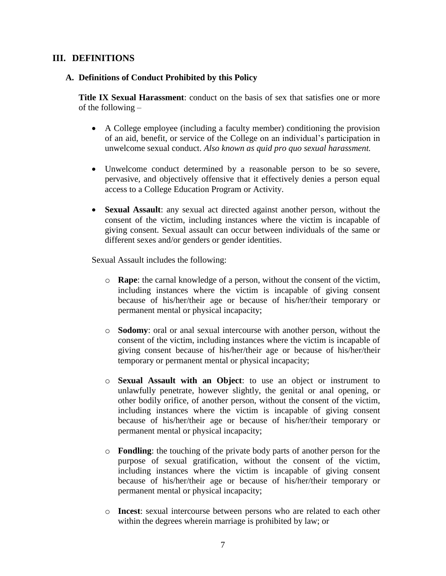## <span id="page-6-0"></span>**III. DEFINITIONS**

#### <span id="page-6-1"></span>**A. Definitions of Conduct Prohibited by this Policy**

**Title IX Sexual Harassment**: conduct on the basis of sex that satisfies one or more of the following –

- A College employee (including a faculty member) conditioning the provision of an aid, benefit, or service of the College on an individual's participation in unwelcome sexual conduct. *Also known as quid pro quo sexual harassment.*
- Unwelcome conduct determined by a reasonable person to be so severe, pervasive, and objectively offensive that it effectively denies a person equal access to a College Education Program or Activity.
- **Sexual Assault**: any sexual act directed against another person, without the consent of the victim, including instances where the victim is incapable of giving consent. Sexual assault can occur between individuals of the same or different sexes and/or genders or gender identities.

Sexual Assault includes the following:

- o **Rape**: the carnal knowledge of a person, without the consent of the victim, including instances where the victim is incapable of giving consent because of his/her/their age or because of his/her/their temporary or permanent mental or physical incapacity;
- o **Sodomy**: oral or anal sexual intercourse with another person, without the consent of the victim, including instances where the victim is incapable of giving consent because of his/her/their age or because of his/her/their temporary or permanent mental or physical incapacity;
- o **Sexual Assault with an Object**: to use an object or instrument to unlawfully penetrate, however slightly, the genital or anal opening, or other bodily orifice, of another person, without the consent of the victim, including instances where the victim is incapable of giving consent because of his/her/their age or because of his/her/their temporary or permanent mental or physical incapacity;
- o **Fondling**: the touching of the private body parts of another person for the purpose of sexual gratification, without the consent of the victim, including instances where the victim is incapable of giving consent because of his/her/their age or because of his/her/their temporary or permanent mental or physical incapacity;
- o **Incest**: sexual intercourse between persons who are related to each other within the degrees wherein marriage is prohibited by law; or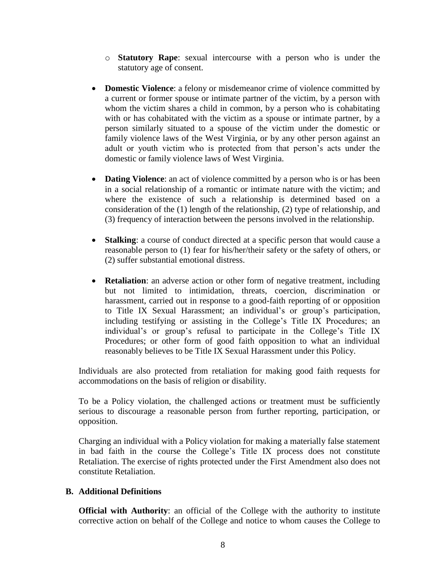- o **Statutory Rape**: sexual intercourse with a person who is under the statutory age of consent.
- **Domestic Violence**: a felony or misdemeanor crime of violence committed by a current or former spouse or intimate partner of the victim, by a person with whom the victim shares a child in common, by a person who is cohabitating with or has cohabitated with the victim as a spouse or intimate partner, by a person similarly situated to a spouse of the victim under the domestic or family violence laws of the West Virginia, or by any other person against an adult or youth victim who is protected from that person's acts under the domestic or family violence laws of West Virginia.
- **Dating Violence**: an act of violence committed by a person who is or has been in a social relationship of a romantic or intimate nature with the victim; and where the existence of such a relationship is determined based on a consideration of the (1) length of the relationship, (2) type of relationship, and (3) frequency of interaction between the persons involved in the relationship.
- **Stalking**: a course of conduct directed at a specific person that would cause a reasonable person to (1) fear for his/her/their safety or the safety of others, or (2) suffer substantial emotional distress.
- **Retaliation**: an adverse action or other form of negative treatment, including but not limited to intimidation, threats, coercion, discrimination or harassment, carried out in response to a good-faith reporting of or opposition to Title IX Sexual Harassment; an individual's or group's participation, including testifying or assisting in the College's Title IX Procedures; an individual's or group's refusal to participate in the College's Title IX Procedures; or other form of good faith opposition to what an individual reasonably believes to be Title IX Sexual Harassment under this Policy.

Individuals are also protected from retaliation for making good faith requests for accommodations on the basis of religion or disability.

To be a Policy violation, the challenged actions or treatment must be sufficiently serious to discourage a reasonable person from further reporting, participation, or opposition.

Charging an individual with a Policy violation for making a materially false statement in bad faith in the course the College's Title IX process does not constitute Retaliation. The exercise of rights protected under the First Amendment also does not constitute Retaliation.

#### <span id="page-7-0"></span>**B. Additional Definitions**

**Official with Authority:** an official of the College with the authority to institute corrective action on behalf of the College and notice to whom causes the College to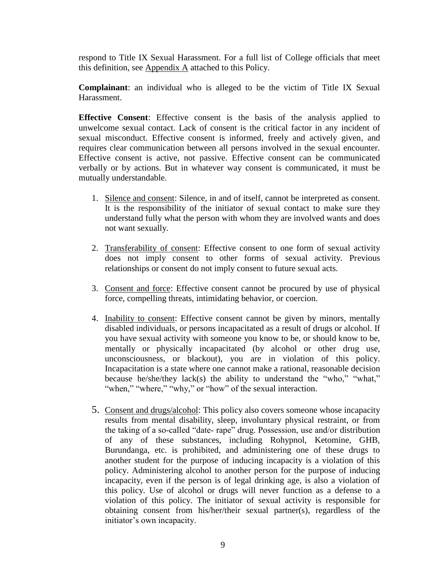respond to Title IX Sexual Harassment. For a full list of College officials that meet this definition, see  $\Delta$ ppendix  $\Delta$  attached to this Policy.

**Complainant**: an individual who is alleged to be the victim of Title IX Sexual Harassment.

**Effective Consent**: Effective consent is the basis of the analysis applied to unwelcome sexual contact. Lack of consent is the critical factor in any incident of sexual misconduct. Effective consent is informed, freely and actively given, and requires clear communication between all persons involved in the sexual encounter. Effective consent is active, not passive. Effective consent can be communicated verbally or by actions. But in whatever way consent is communicated, it must be mutually understandable.

- 1. Silence and consent: Silence, in and of itself, cannot be interpreted as consent. It is the responsibility of the initiator of sexual contact to make sure they understand fully what the person with whom they are involved wants and does not want sexually.
- 2. Transferability of consent: Effective consent to one form of sexual activity does not imply consent to other forms of sexual activity. Previous relationships or consent do not imply consent to future sexual acts.
- 3. Consent and force: Effective consent cannot be procured by use of physical force, compelling threats, intimidating behavior, or coercion.
- 4. Inability to consent: Effective consent cannot be given by minors, mentally disabled individuals, or persons incapacitated as a result of drugs or alcohol. If you have sexual activity with someone you know to be, or should know to be, mentally or physically incapacitated (by alcohol or other drug use, unconsciousness, or blackout), you are in violation of this policy. Incapacitation is a state where one cannot make a rational, reasonable decision because he/she/they lack(s) the ability to understand the "who," "what," "when," "where," "why," or "how" of the sexual interaction.
- 5. Consent and drugs/alcohol: This policy also covers someone whose incapacity results from mental disability, sleep, involuntary physical restraint, or from the taking of a so-called "date-rape" drug. Possession, use and/or distribution of any of these substances, including Rohypnol, Ketomine, GHB, Burundanga, etc. is prohibited, and administering one of these drugs to another student for the purpose of inducing incapacity is a violation of this policy. Administering alcohol to another person for the purpose of inducing incapacity, even if the person is of legal drinking age, is also a violation of this policy. Use of alcohol or drugs will never function as a defense to a violation of this policy. The initiator of sexual activity is responsible for obtaining consent from his/her/their sexual partner(s), regardless of the initiator's own incapacity.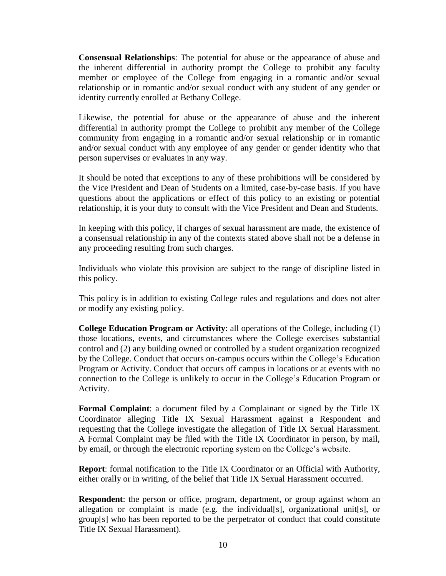**Consensual Relationships**: The potential for abuse or the appearance of abuse and the inherent differential in authority prompt the College to prohibit any faculty member or employee of the College from engaging in a romantic and/or sexual relationship or in romantic and/or sexual conduct with any student of any gender or identity currently enrolled at Bethany College.

Likewise, the potential for abuse or the appearance of abuse and the inherent differential in authority prompt the College to prohibit any member of the College community from engaging in a romantic and/or sexual relationship or in romantic and/or sexual conduct with any employee of any gender or gender identity who that person supervises or evaluates in any way.

It should be noted that exceptions to any of these prohibitions will be considered by the Vice President and Dean of Students on a limited, case-by-case basis. If you have questions about the applications or effect of this policy to an existing or potential relationship, it is your duty to consult with the Vice President and Dean and Students.

In keeping with this policy, if charges of sexual harassment are made, the existence of a consensual relationship in any of the contexts stated above shall not be a defense in any proceeding resulting from such charges.

Individuals who violate this provision are subject to the range of discipline listed in this policy.

This policy is in addition to existing College rules and regulations and does not alter or modify any existing policy.

**College Education Program or Activity**: all operations of the College, including (1) those locations, events, and circumstances where the College exercises substantial control and (2) any building owned or controlled by a student organization recognized by the College. Conduct that occurs on-campus occurs within the College's Education Program or Activity. Conduct that occurs off campus in locations or at events with no connection to the College is unlikely to occur in the College's Education Program or Activity.

**Formal Complaint**: a document filed by a Complainant or signed by the Title IX Coordinator alleging Title IX Sexual Harassment against a Respondent and requesting that the College investigate the allegation of Title IX Sexual Harassment. A Formal Complaint may be filed with the Title IX Coordinator in person, by mail, by email, or through the electronic reporting system on the College's website.

**Report**: formal notification to the Title IX Coordinator or an Official with Authority, either orally or in writing, of the belief that Title IX Sexual Harassment occurred.

**Respondent**: the person or office, program, department, or group against whom an allegation or complaint is made (e.g. the individual[s], organizational unit[s], or group[s] who has been reported to be the perpetrator of conduct that could constitute Title IX Sexual Harassment).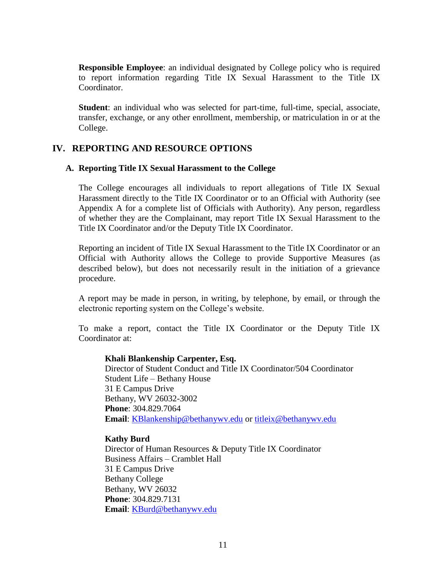**Responsible Employee**: an individual designated by College policy who is required to report information regarding Title IX Sexual Harassment to the Title IX Coordinator.

**Student**: an individual who was selected for part-time, full-time, special, associate, transfer, exchange, or any other enrollment, membership, or matriculation in or at the College.

#### <span id="page-10-0"></span>**IV. REPORTING AND RESOURCE OPTIONS**

#### <span id="page-10-1"></span>**A. Reporting Title IX Sexual Harassment to the College**

The College encourages all individuals to report allegations of Title IX Sexual Harassment directly to the Title IX Coordinator or to an Official with Authority (see Appendix A for a complete list of Officials with Authority). Any person, regardless of whether they are the Complainant, may report Title IX Sexual Harassment to the Title IX Coordinator and/or the Deputy Title IX Coordinator.

Reporting an incident of Title IX Sexual Harassment to the Title IX Coordinator or an Official with Authority allows the College to provide Supportive Measures (as described below), but does not necessarily result in the initiation of a grievance procedure.

A report may be made in person, in writing, by telephone, by email, or through the electronic reporting system on the College's website.

To make a report, contact the Title IX Coordinator or the Deputy Title IX Coordinator at:

#### **Khali Blankenship Carpenter, Esq.**

Director of Student Conduct and Title IX Coordinator/504 Coordinator Student Life – Bethany House 31 E Campus Drive Bethany, WV 26032-3002 **Phone**: 304.829.7064 **Email**: [KBlankenship@bethanywv.edu](mailto:KBlankenship@bethanywv.edu) or [titleix@bethanywv.edu](mailto:titleix@bethanywv.edu)

#### **Kathy Burd**

Director of Human Resources & Deputy Title IX Coordinator Business Affairs – Cramblet Hall 31 E Campus Drive Bethany College Bethany, WV 26032 **Phone**: 304.829.7131 **Email**: [KBurd@bethanywv.edu](mailto:KBurd@bethanywv.edu)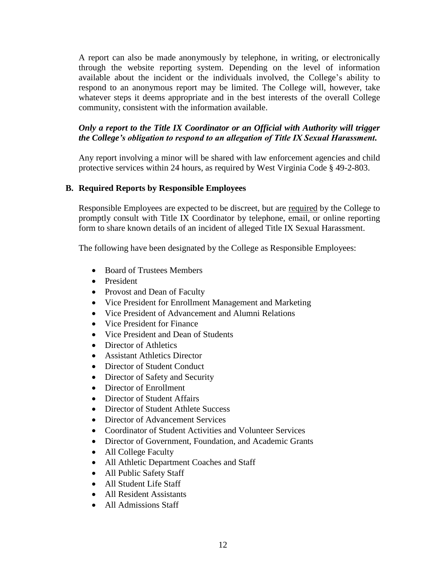A report can also be made anonymously by telephone, in writing, or electronically through the website reporting system. Depending on the level of information available about the incident or the individuals involved, the College's ability to respond to an anonymous report may be limited. The College will, however, take whatever steps it deems appropriate and in the best interests of the overall College community, consistent with the information available.

## *Only a report to the Title IX Coordinator or an Official with Authority will trigger the College's obligation to respond to an allegation of Title IX Sexual Harassment.*

Any report involving a minor will be shared with law enforcement agencies and child protective services within 24 hours, as required by West Virginia Code § 49-2-803.

#### <span id="page-11-0"></span>**B. Required Reports by Responsible Employees**

Responsible Employees are expected to be discreet, but are required by the College to promptly consult with Title IX Coordinator by telephone, email, or online reporting form to share known details of an incident of alleged Title IX Sexual Harassment.

The following have been designated by the College as Responsible Employees:

- Board of Trustees Members
- President
- Provost and Dean of Faculty
- Vice President for Enrollment Management and Marketing
- Vice President of Advancement and Alumni Relations
- Vice President for Finance
- Vice President and Dean of Students
- Director of Athletics
- Assistant Athletics Director
- Director of Student Conduct
- Director of Safety and Security
- Director of Enrollment
- Director of Student Affairs
- Director of Student Athlete Success
- Director of Advancement Services
- Coordinator of Student Activities and Volunteer Services
- Director of Government, Foundation, and Academic Grants
- All College Faculty
- All Athletic Department Coaches and Staff
- All Public Safety Staff
- All Student Life Staff
- All Resident Assistants
- All Admissions Staff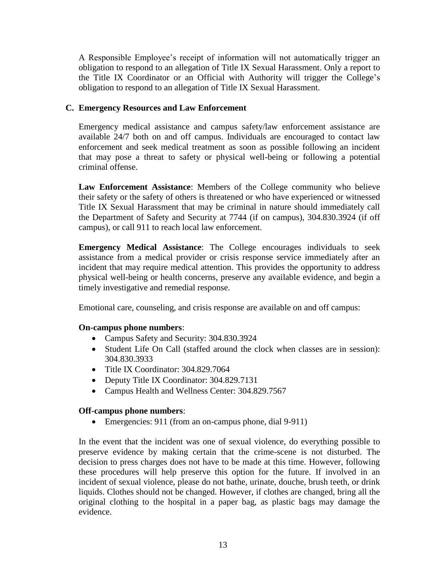A Responsible Employee's receipt of information will not automatically trigger an obligation to respond to an allegation of Title IX Sexual Harassment. Only a report to the Title IX Coordinator or an Official with Authority will trigger the College's obligation to respond to an allegation of Title IX Sexual Harassment.

#### <span id="page-12-0"></span>**C. Emergency Resources and Law Enforcement**

Emergency medical assistance and campus safety/law enforcement assistance are available 24/7 both on and off campus. Individuals are encouraged to contact law enforcement and seek medical treatment as soon as possible following an incident that may pose a threat to safety or physical well-being or following a potential criminal offense.

**Law Enforcement Assistance**: Members of the College community who believe their safety or the safety of others is threatened or who have experienced or witnessed Title IX Sexual Harassment that may be criminal in nature should immediately call the Department of Safety and Security at 7744 (if on campus), 304.830.3924 (if off campus), or call 911 to reach local law enforcement.

**Emergency Medical Assistance**: The College encourages individuals to seek assistance from a medical provider or crisis response service immediately after an incident that may require medical attention. This provides the opportunity to address physical well-being or health concerns, preserve any available evidence, and begin a timely investigative and remedial response.

Emotional care, counseling, and crisis response are available on and off campus:

## **On-campus phone numbers**:

- Campus Safety and Security: 304.830.3924
- Student Life On Call (staffed around the clock when classes are in session): 304.830.3933
- Title IX Coordinator: 304.829.7064
- Deputy Title IX Coordinator: 304.829.7131
- Campus Health and Wellness Center: 304.829.7567

#### **Off-campus phone numbers**:

• Emergencies: 911 (from an on-campus phone, dial 9-911)

In the event that the incident was one of sexual violence, do everything possible to preserve evidence by making certain that the crime-scene is not disturbed. The decision to press charges does not have to be made at this time. However, following these procedures will help preserve this option for the future. If involved in an incident of sexual violence, please do not bathe, urinate, douche, brush teeth, or drink liquids. Clothes should not be changed. However, if clothes are changed, bring all the original clothing to the hospital in a paper bag, as plastic bags may damage the evidence.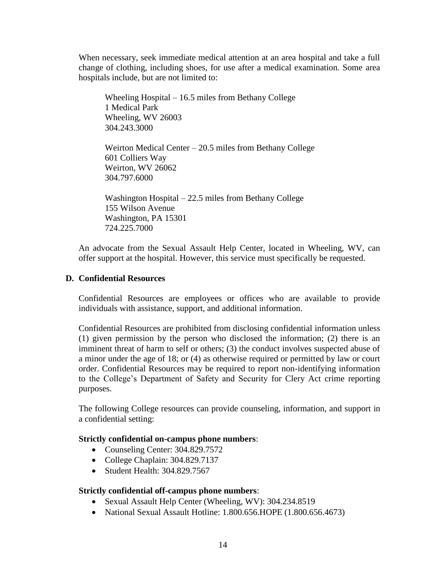When necessary, seek immediate medical attention at an area hospital and take a full change of clothing, including shoes, for use after a medical examination. Some area hospitals include, but are not limited to:

Wheeling Hospital – 16.5 miles from Bethany College 1 Medical Park Wheeling, WV 26003 304.243.3000

Weirton Medical Center – 20.5 miles from Bethany College 601 Colliers Way Weirton, WV 26062 304.797.6000

Washington Hospital – 22.5 miles from Bethany College 155 Wilson Avenue Washington, PA 15301 724.225.7000

An advocate from the Sexual Assault Help Center, located in Wheeling, WV, can offer support at the hospital. However, this service must specifically be requested.

#### <span id="page-13-0"></span>**D. Confidential Resources**

Confidential Resources are employees or offices who are available to provide individuals with assistance, support, and additional information.

Confidential Resources are prohibited from disclosing confidential information unless (1) given permission by the person who disclosed the information; (2) there is an imminent threat of harm to self or others; (3) the conduct involves suspected abuse of a minor under the age of 18; or (4) as otherwise required or permitted by law or court order. Confidential Resources may be required to report non-identifying information to the College's Department of Safety and Security for Clery Act crime reporting purposes.

The following College resources can provide counseling, information, and support in a confidential setting:

#### **Strictly confidential on-campus phone numbers**:

- Counseling Center: 304.829.7572
- College Chaplain: 304.829.7137
- Student Health: 304, 829, 7567

#### **Strictly confidential off-campus phone numbers**:

- Sexual Assault Help Center (Wheeling, WV): 304.234.8519
- National Sexual Assault Hotline: 1.800.656.HOPE (1.800.656.4673)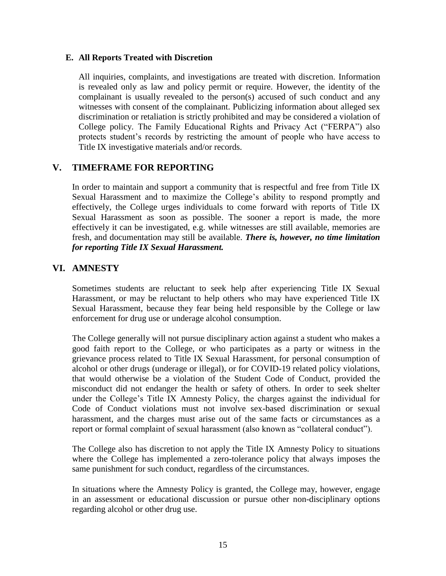#### <span id="page-14-0"></span>**E. All Reports Treated with Discretion**

All inquiries, complaints, and investigations are treated with discretion. Information is revealed only as law and policy permit or require. However, the identity of the complainant is usually revealed to the person(s) accused of such conduct and any witnesses with consent of the complainant. Publicizing information about alleged sex discrimination or retaliation is strictly prohibited and may be considered a violation of College policy. The Family Educational Rights and Privacy Act ("FERPA") also protects student's records by restricting the amount of people who have access to Title IX investigative materials and/or records.

## <span id="page-14-1"></span>**V. TIMEFRAME FOR REPORTING**

In order to maintain and support a community that is respectful and free from Title IX Sexual Harassment and to maximize the College's ability to respond promptly and effectively, the College urges individuals to come forward with reports of Title IX Sexual Harassment as soon as possible. The sooner a report is made, the more effectively it can be investigated, e.g. while witnesses are still available, memories are fresh, and documentation may still be available. *There is, however, no time limitation for reporting Title IX Sexual Harassment.*

## <span id="page-14-2"></span>**VI. AMNESTY**

Sometimes students are reluctant to seek help after experiencing Title IX Sexual Harassment, or may be reluctant to help others who may have experienced Title IX Sexual Harassment, because they fear being held responsible by the College or law enforcement for drug use or underage alcohol consumption.

The College generally will not pursue disciplinary action against a student who makes a good faith report to the College, or who participates as a party or witness in the grievance process related to Title IX Sexual Harassment, for personal consumption of alcohol or other drugs (underage or illegal), or for COVID-19 related policy violations, that would otherwise be a violation of the Student Code of Conduct, provided the misconduct did not endanger the health or safety of others. In order to seek shelter under the College's Title IX Amnesty Policy, the charges against the individual for Code of Conduct violations must not involve sex-based discrimination or sexual harassment, and the charges must arise out of the same facts or circumstances as a report or formal complaint of sexual harassment (also known as "collateral conduct").

The College also has discretion to not apply the Title IX Amnesty Policy to situations where the College has implemented a zero-tolerance policy that always imposes the same punishment for such conduct, regardless of the circumstances.

In situations where the Amnesty Policy is granted, the College may, however, engage in an assessment or educational discussion or pursue other non-disciplinary options regarding alcohol or other drug use.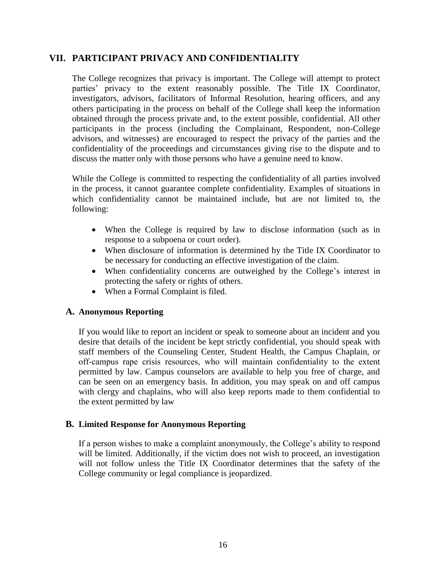## <span id="page-15-0"></span>**VII. PARTICIPANT PRIVACY AND CONFIDENTIALITY**

The College recognizes that privacy is important. The College will attempt to protect parties' privacy to the extent reasonably possible. The Title IX Coordinator, investigators, advisors, facilitators of Informal Resolution, hearing officers, and any others participating in the process on behalf of the College shall keep the information obtained through the process private and, to the extent possible, confidential. All other participants in the process (including the Complainant, Respondent, non-College advisors, and witnesses) are encouraged to respect the privacy of the parties and the confidentiality of the proceedings and circumstances giving rise to the dispute and to discuss the matter only with those persons who have a genuine need to know.

While the College is committed to respecting the confidentiality of all parties involved in the process, it cannot guarantee complete confidentiality. Examples of situations in which confidentiality cannot be maintained include, but are not limited to, the following:

- When the College is required by law to disclose information (such as in response to a subpoena or court order).
- When disclosure of information is determined by the Title IX Coordinator to be necessary for conducting an effective investigation of the claim.
- When confidentiality concerns are outweighed by the College's interest in protecting the safety or rights of others.
- When a Formal Complaint is filed.

#### <span id="page-15-1"></span>**A. Anonymous Reporting**

If you would like to report an incident or speak to someone about an incident and you desire that details of the incident be kept strictly confidential, you should speak with staff members of the Counseling Center, Student Health, the Campus Chaplain, or off-campus rape crisis resources, who will maintain confidentiality to the extent permitted by law. Campus counselors are available to help you free of charge, and can be seen on an emergency basis. In addition, you may speak on and off campus with clergy and chaplains, who will also keep reports made to them confidential to the extent permitted by law

#### <span id="page-15-2"></span>**B. Limited Response for Anonymous Reporting**

If a person wishes to make a complaint anonymously, the College's ability to respond will be limited. Additionally, if the victim does not wish to proceed, an investigation will not follow unless the Title IX Coordinator determines that the safety of the College community or legal compliance is jeopardized.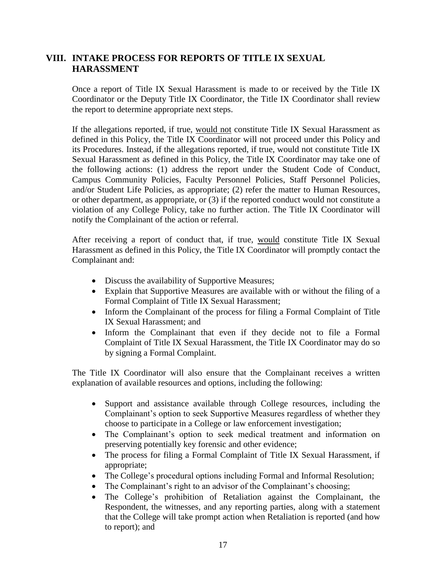# <span id="page-16-0"></span>**VIII. INTAKE PROCESS FOR REPORTS OF TITLE IX SEXUAL HARASSMENT**

Once a report of Title IX Sexual Harassment is made to or received by the Title IX Coordinator or the Deputy Title IX Coordinator, the Title IX Coordinator shall review the report to determine appropriate next steps.

If the allegations reported, if true, would not constitute Title IX Sexual Harassment as defined in this Policy, the Title IX Coordinator will not proceed under this Policy and its Procedures. Instead, if the allegations reported, if true, would not constitute Title IX Sexual Harassment as defined in this Policy, the Title IX Coordinator may take one of the following actions: (1) address the report under the Student Code of Conduct, Campus Community Policies, Faculty Personnel Policies, Staff Personnel Policies, and/or Student Life Policies, as appropriate; (2) refer the matter to Human Resources, or other department, as appropriate, or (3) if the reported conduct would not constitute a violation of any College Policy, take no further action. The Title IX Coordinator will notify the Complainant of the action or referral.

After receiving a report of conduct that, if true, would constitute Title IX Sexual Harassment as defined in this Policy, the Title IX Coordinator will promptly contact the Complainant and:

- Discuss the availability of Supportive Measures;
- Explain that Supportive Measures are available with or without the filing of a Formal Complaint of Title IX Sexual Harassment;
- Inform the Complainant of the process for filing a Formal Complaint of Title IX Sexual Harassment; and
- Inform the Complainant that even if they decide not to file a Formal Complaint of Title IX Sexual Harassment, the Title IX Coordinator may do so by signing a Formal Complaint.

The Title IX Coordinator will also ensure that the Complainant receives a written explanation of available resources and options, including the following:

- Support and assistance available through College resources, including the Complainant's option to seek Supportive Measures regardless of whether they choose to participate in a College or law enforcement investigation;
- The Complainant's option to seek medical treatment and information on preserving potentially key forensic and other evidence;
- The process for filing a Formal Complaint of Title IX Sexual Harassment, if appropriate;
- The College's procedural options including Formal and Informal Resolution;
- The Complainant's right to an advisor of the Complainant's choosing;
- The College's prohibition of Retaliation against the Complainant, the Respondent, the witnesses, and any reporting parties, along with a statement that the College will take prompt action when Retaliation is reported (and how to report); and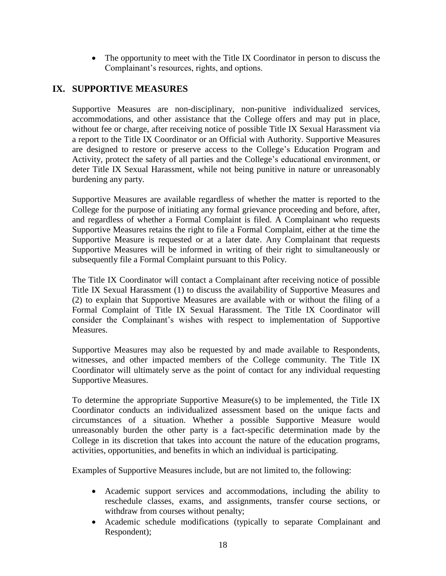• The opportunity to meet with the Title IX Coordinator in person to discuss the Complainant's resources, rights, and options.

# <span id="page-17-0"></span>**IX. SUPPORTIVE MEASURES**

Supportive Measures are non-disciplinary, non-punitive individualized services, accommodations, and other assistance that the College offers and may put in place, without fee or charge, after receiving notice of possible Title IX Sexual Harassment via a report to the Title IX Coordinator or an Official with Authority. Supportive Measures are designed to restore or preserve access to the College's Education Program and Activity, protect the safety of all parties and the College's educational environment, or deter Title IX Sexual Harassment, while not being punitive in nature or unreasonably burdening any party.

Supportive Measures are available regardless of whether the matter is reported to the College for the purpose of initiating any formal grievance proceeding and before, after, and regardless of whether a Formal Complaint is filed. A Complainant who requests Supportive Measures retains the right to file a Formal Complaint, either at the time the Supportive Measure is requested or at a later date. Any Complainant that requests Supportive Measures will be informed in writing of their right to simultaneously or subsequently file a Formal Complaint pursuant to this Policy.

The Title IX Coordinator will contact a Complainant after receiving notice of possible Title IX Sexual Harassment (1) to discuss the availability of Supportive Measures and (2) to explain that Supportive Measures are available with or without the filing of a Formal Complaint of Title IX Sexual Harassment. The Title IX Coordinator will consider the Complainant's wishes with respect to implementation of Supportive Measures.

Supportive Measures may also be requested by and made available to Respondents, witnesses, and other impacted members of the College community. The Title IX Coordinator will ultimately serve as the point of contact for any individual requesting Supportive Measures.

To determine the appropriate Supportive Measure(s) to be implemented, the Title IX Coordinator conducts an individualized assessment based on the unique facts and circumstances of a situation. Whether a possible Supportive Measure would unreasonably burden the other party is a fact-specific determination made by the College in its discretion that takes into account the nature of the education programs, activities, opportunities, and benefits in which an individual is participating.

Examples of Supportive Measures include, but are not limited to, the following:

- Academic support services and accommodations, including the ability to reschedule classes, exams, and assignments, transfer course sections, or withdraw from courses without penalty;
- Academic schedule modifications (typically to separate Complainant and Respondent);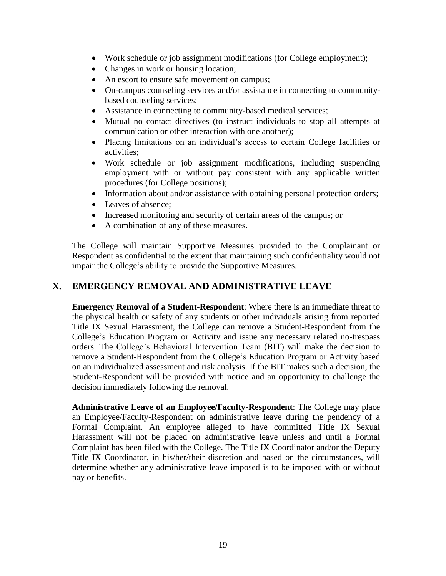- Work schedule or job assignment modifications (for College employment);
- Changes in work or housing location;
- An escort to ensure safe movement on campus;
- On-campus counseling services and/or assistance in connecting to communitybased counseling services;
- Assistance in connecting to community-based medical services;
- Mutual no contact directives (to instruct individuals to stop all attempts at communication or other interaction with one another);
- Placing limitations on an individual's access to certain College facilities or activities;
- Work schedule or job assignment modifications, including suspending employment with or without pay consistent with any applicable written procedures (for College positions);
- Information about and/or assistance with obtaining personal protection orders;
- Leaves of absence;
- Increased monitoring and security of certain areas of the campus; or
- A combination of any of these measures.

The College will maintain Supportive Measures provided to the Complainant or Respondent as confidential to the extent that maintaining such confidentiality would not impair the College's ability to provide the Supportive Measures.

# <span id="page-18-0"></span>**X. EMERGENCY REMOVAL AND ADMINISTRATIVE LEAVE**

**Emergency Removal of a Student-Respondent**: Where there is an immediate threat to the physical health or safety of any students or other individuals arising from reported Title IX Sexual Harassment, the College can remove a Student-Respondent from the College's Education Program or Activity and issue any necessary related no-trespass orders. The College's Behavioral Intervention Team (BIT) will make the decision to remove a Student-Respondent from the College's Education Program or Activity based on an individualized assessment and risk analysis. If the BIT makes such a decision, the Student-Respondent will be provided with notice and an opportunity to challenge the decision immediately following the removal.

**Administrative Leave of an Employee/Faculty-Respondent**: The College may place an Employee/Faculty-Respondent on administrative leave during the pendency of a Formal Complaint. An employee alleged to have committed Title IX Sexual Harassment will not be placed on administrative leave unless and until a Formal Complaint has been filed with the College. The Title IX Coordinator and/or the Deputy Title IX Coordinator, in his/her/their discretion and based on the circumstances, will determine whether any administrative leave imposed is to be imposed with or without pay or benefits.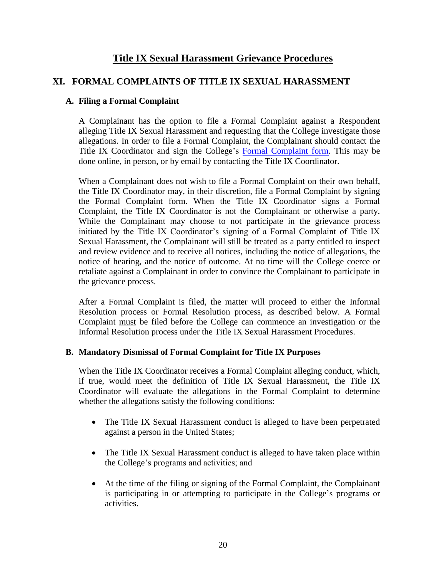# **Title IX Sexual Harassment Grievance Procedures**

## <span id="page-19-0"></span>**XI. FORMAL COMPLAINTS OF TITLE IX SEXUAL HARASSMENT**

#### <span id="page-19-1"></span>**A. Filing a Formal Complaint**

A Complainant has the option to file a Formal Complaint against a Respondent alleging Title IX Sexual Harassment and requesting that the College investigate those allegations. In order to file a Formal Complaint, the Complainant should contact the Title IX Coordinator and sign the College's [Formal Complaint form.](https://www.bethanywv.edu/student-life/title-ix/reporting-forms/#1518454258995-0df272ff-cff0) This may be done online, in person, or by email by contacting the Title IX Coordinator.

When a Complainant does not wish to file a Formal Complaint on their own behalf, the Title IX Coordinator may, in their discretion, file a Formal Complaint by signing the Formal Complaint form. When the Title IX Coordinator signs a Formal Complaint, the Title IX Coordinator is not the Complainant or otherwise a party. While the Complainant may choose to not participate in the grievance process initiated by the Title IX Coordinator's signing of a Formal Complaint of Title IX Sexual Harassment, the Complainant will still be treated as a party entitled to inspect and review evidence and to receive all notices, including the notice of allegations, the notice of hearing, and the notice of outcome. At no time will the College coerce or retaliate against a Complainant in order to convince the Complainant to participate in the grievance process.

After a Formal Complaint is filed, the matter will proceed to either the Informal Resolution process or Formal Resolution process, as described below. A Formal Complaint must be filed before the College can commence an investigation or the Informal Resolution process under the Title IX Sexual Harassment Procedures.

#### <span id="page-19-2"></span>**B. Mandatory Dismissal of Formal Complaint for Title IX Purposes**

When the Title IX Coordinator receives a Formal Complaint alleging conduct, which, if true, would meet the definition of Title IX Sexual Harassment, the Title IX Coordinator will evaluate the allegations in the Formal Complaint to determine whether the allegations satisfy the following conditions:

- The Title IX Sexual Harassment conduct is alleged to have been perpetrated against a person in the United States;
- The Title IX Sexual Harassment conduct is alleged to have taken place within the College's programs and activities; and
- At the time of the filing or signing of the Formal Complaint, the Complainant is participating in or attempting to participate in the College's programs or activities.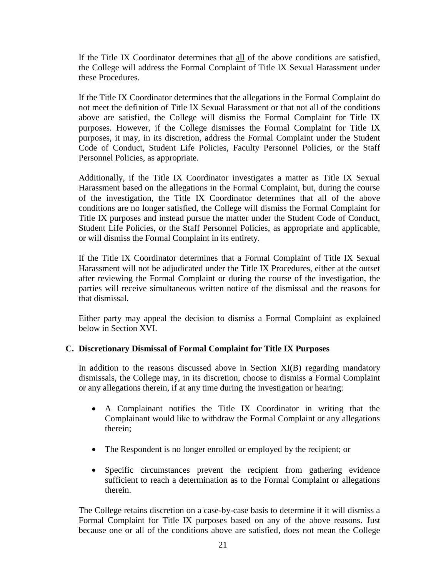If the Title IX Coordinator determines that all of the above conditions are satisfied, the College will address the Formal Complaint of Title IX Sexual Harassment under these Procedures.

If the Title IX Coordinator determines that the allegations in the Formal Complaint do not meet the definition of Title IX Sexual Harassment or that not all of the conditions above are satisfied, the College will dismiss the Formal Complaint for Title IX purposes. However, if the College dismisses the Formal Complaint for Title IX purposes, it may, in its discretion, address the Formal Complaint under the Student Code of Conduct, Student Life Policies, Faculty Personnel Policies, or the Staff Personnel Policies, as appropriate.

Additionally, if the Title IX Coordinator investigates a matter as Title IX Sexual Harassment based on the allegations in the Formal Complaint, but, during the course of the investigation, the Title IX Coordinator determines that all of the above conditions are no longer satisfied, the College will dismiss the Formal Complaint for Title IX purposes and instead pursue the matter under the Student Code of Conduct, Student Life Policies, or the Staff Personnel Policies, as appropriate and applicable, or will dismiss the Formal Complaint in its entirety.

If the Title IX Coordinator determines that a Formal Complaint of Title IX Sexual Harassment will not be adjudicated under the Title IX Procedures, either at the outset after reviewing the Formal Complaint or during the course of the investigation, the parties will receive simultaneous written notice of the dismissal and the reasons for that dismissal.

Either party may appeal the decision to dismiss a Formal Complaint as explained below in Section XVI.

## <span id="page-20-0"></span>**C. Discretionary Dismissal of Formal Complaint for Title IX Purposes**

In addition to the reasons discussed above in Section  $XI(B)$  regarding mandatory dismissals, the College may, in its discretion, choose to dismiss a Formal Complaint or any allegations therein, if at any time during the investigation or hearing:

- A Complainant notifies the Title IX Coordinator in writing that the Complainant would like to withdraw the Formal Complaint or any allegations therein;
- The Respondent is no longer enrolled or employed by the recipient; or
- Specific circumstances prevent the recipient from gathering evidence sufficient to reach a determination as to the Formal Complaint or allegations therein.

The College retains discretion on a case-by-case basis to determine if it will dismiss a Formal Complaint for Title IX purposes based on any of the above reasons. Just because one or all of the conditions above are satisfied, does not mean the College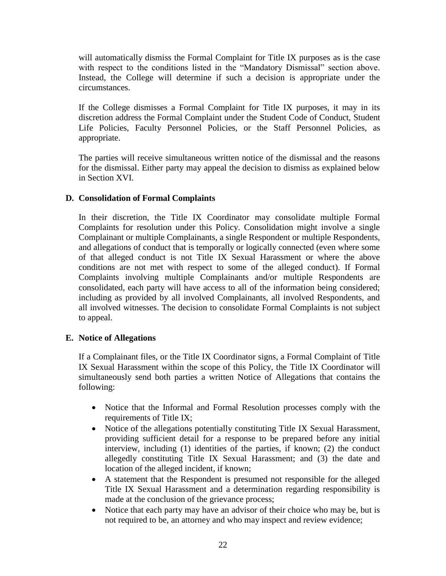will automatically dismiss the Formal Complaint for Title IX purposes as is the case with respect to the conditions listed in the "Mandatory Dismissal" section above. Instead, the College will determine if such a decision is appropriate under the circumstances.

If the College dismisses a Formal Complaint for Title IX purposes, it may in its discretion address the Formal Complaint under the Student Code of Conduct, Student Life Policies, Faculty Personnel Policies, or the Staff Personnel Policies, as appropriate.

The parties will receive simultaneous written notice of the dismissal and the reasons for the dismissal. Either party may appeal the decision to dismiss as explained below in Section XVI.

#### <span id="page-21-0"></span>**D. Consolidation of Formal Complaints**

In their discretion, the Title IX Coordinator may consolidate multiple Formal Complaints for resolution under this Policy. Consolidation might involve a single Complainant or multiple Complainants, a single Respondent or multiple Respondents, and allegations of conduct that is temporally or logically connected (even where some of that alleged conduct is not Title IX Sexual Harassment or where the above conditions are not met with respect to some of the alleged conduct). If Formal Complaints involving multiple Complainants and/or multiple Respondents are consolidated, each party will have access to all of the information being considered; including as provided by all involved Complainants, all involved Respondents, and all involved witnesses. The decision to consolidate Formal Complaints is not subject to appeal.

## <span id="page-21-1"></span>**E. Notice of Allegations**

If a Complainant files, or the Title IX Coordinator signs, a Formal Complaint of Title IX Sexual Harassment within the scope of this Policy, the Title IX Coordinator will simultaneously send both parties a written Notice of Allegations that contains the following:

- Notice that the Informal and Formal Resolution processes comply with the requirements of Title IX;
- Notice of the allegations potentially constituting Title IX Sexual Harassment, providing sufficient detail for a response to be prepared before any initial interview, including (1) identities of the parties, if known; (2) the conduct allegedly constituting Title IX Sexual Harassment; and (3) the date and location of the alleged incident, if known;
- A statement that the Respondent is presumed not responsible for the alleged Title IX Sexual Harassment and a determination regarding responsibility is made at the conclusion of the grievance process;
- Notice that each party may have an advisor of their choice who may be, but is not required to be, an attorney and who may inspect and review evidence;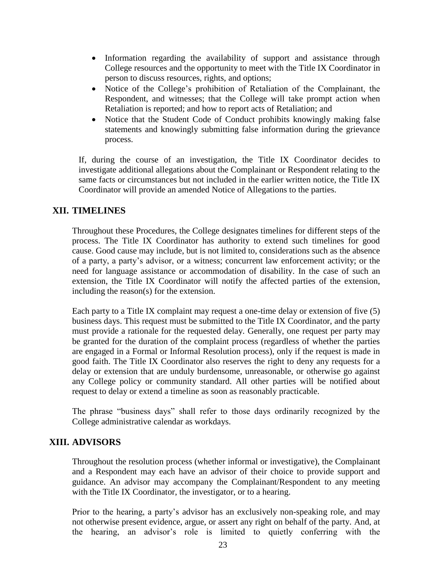- Information regarding the availability of support and assistance through College resources and the opportunity to meet with the Title IX Coordinator in person to discuss resources, rights, and options;
- Notice of the College's prohibition of Retaliation of the Complainant, the Respondent, and witnesses; that the College will take prompt action when Retaliation is reported; and how to report acts of Retaliation; and
- Notice that the Student Code of Conduct prohibits knowingly making false statements and knowingly submitting false information during the grievance process.

If, during the course of an investigation, the Title IX Coordinator decides to investigate additional allegations about the Complainant or Respondent relating to the same facts or circumstances but not included in the earlier written notice, the Title IX Coordinator will provide an amended Notice of Allegations to the parties.

## <span id="page-22-0"></span>**XII. TIMELINES**

Throughout these Procedures, the College designates timelines for different steps of the process. The Title IX Coordinator has authority to extend such timelines for good cause. Good cause may include, but is not limited to, considerations such as the absence of a party, a party's advisor, or a witness; concurrent law enforcement activity; or the need for language assistance or accommodation of disability. In the case of such an extension, the Title IX Coordinator will notify the affected parties of the extension, including the reason(s) for the extension.

Each party to a Title IX complaint may request a one-time delay or extension of five (5) business days. This request must be submitted to the Title IX Coordinator, and the party must provide a rationale for the requested delay. Generally, one request per party may be granted for the duration of the complaint process (regardless of whether the parties are engaged in a Formal or Informal Resolution process), only if the request is made in good faith. The Title IX Coordinator also reserves the right to deny any requests for a delay or extension that are unduly burdensome, unreasonable, or otherwise go against any College policy or community standard. All other parties will be notified about request to delay or extend a timeline as soon as reasonably practicable.

The phrase "business days" shall refer to those days ordinarily recognized by the College administrative calendar as workdays.

## <span id="page-22-1"></span>**XIII. ADVISORS**

Throughout the resolution process (whether informal or investigative), the Complainant and a Respondent may each have an advisor of their choice to provide support and guidance. An advisor may accompany the Complainant/Respondent to any meeting with the Title IX Coordinator, the investigator, or to a hearing.

Prior to the hearing, a party's advisor has an exclusively non-speaking role, and may not otherwise present evidence, argue, or assert any right on behalf of the party. And, at the hearing, an advisor's role is limited to quietly conferring with the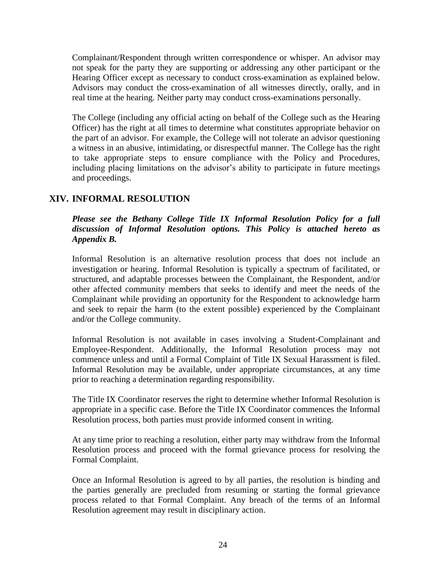Complainant/Respondent through written correspondence or whisper. An advisor may not speak for the party they are supporting or addressing any other participant or the Hearing Officer except as necessary to conduct cross-examination as explained below. Advisors may conduct the cross-examination of all witnesses directly, orally, and in real time at the hearing. Neither party may conduct cross-examinations personally.

The College (including any official acting on behalf of the College such as the Hearing Officer) has the right at all times to determine what constitutes appropriate behavior on the part of an advisor. For example, the College will not tolerate an advisor questioning a witness in an abusive, intimidating, or disrespectful manner. The College has the right to take appropriate steps to ensure compliance with the Policy and Procedures, including placing limitations on the advisor's ability to participate in future meetings and proceedings.

# <span id="page-23-0"></span>**XIV. INFORMAL RESOLUTION**

## *Please see the Bethany College Title IX Informal Resolution Policy for a full discussion of Informal Resolution options. This Policy is attached hereto as Appendix B.*

Informal Resolution is an alternative resolution process that does not include an investigation or hearing. Informal Resolution is typically a spectrum of facilitated, or structured, and adaptable processes between the Complainant, the Respondent, and/or other affected community members that seeks to identify and meet the needs of the Complainant while providing an opportunity for the Respondent to acknowledge harm and seek to repair the harm (to the extent possible) experienced by the Complainant and/or the College community.

Informal Resolution is not available in cases involving a Student-Complainant and Employee-Respondent. Additionally, the Informal Resolution process may not commence unless and until a Formal Complaint of Title IX Sexual Harassment is filed. Informal Resolution may be available, under appropriate circumstances, at any time prior to reaching a determination regarding responsibility.

The Title IX Coordinator reserves the right to determine whether Informal Resolution is appropriate in a specific case. Before the Title IX Coordinator commences the Informal Resolution process, both parties must provide informed consent in writing.

At any time prior to reaching a resolution, either party may withdraw from the Informal Resolution process and proceed with the formal grievance process for resolving the Formal Complaint.

Once an Informal Resolution is agreed to by all parties, the resolution is binding and the parties generally are precluded from resuming or starting the formal grievance process related to that Formal Complaint. Any breach of the terms of an Informal Resolution agreement may result in disciplinary action.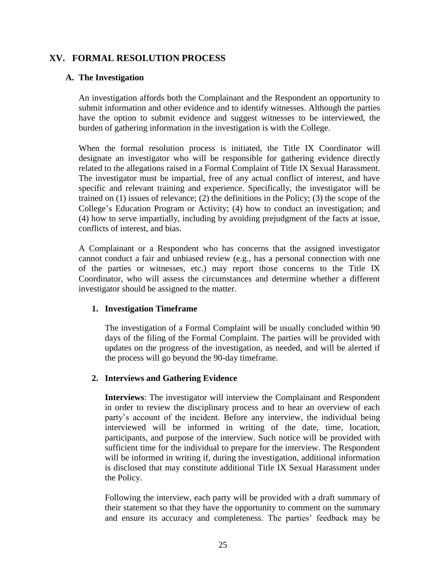## <span id="page-24-1"></span><span id="page-24-0"></span>**XV. FORMAL RESOLUTION PROCESS**

#### **A. The Investigation**

An investigation affords both the Complainant and the Respondent an opportunity to submit information and other evidence and to identify witnesses. Although the parties have the option to submit evidence and suggest witnesses to be interviewed, the burden of gathering information in the investigation is with the College.

When the formal resolution process is initiated, the Title IX Coordinator will designate an investigator who will be responsible for gathering evidence directly related to the allegations raised in a Formal Complaint of Title IX Sexual Harassment. The investigator must be impartial, free of any actual conflict of interest, and have specific and relevant training and experience. Specifically, the investigator will be trained on (1) issues of relevance; (2) the definitions in the Policy; (3) the scope of the College's Education Program or Activity; (4) how to conduct an investigation; and (4) how to serve impartially, including by avoiding prejudgment of the facts at issue, conflicts of interest, and bias.

A Complainant or a Respondent who has concerns that the assigned investigator cannot conduct a fair and unbiased review (e.g., has a personal connection with one of the parties or witnesses, etc.) may report those concerns to the Title IX Coordinator, who will assess the circumstances and determine whether a different investigator should be assigned to the matter.

#### <span id="page-24-2"></span>**1. Investigation Timeframe**

The investigation of a Formal Complaint will be usually concluded within 90 days of the filing of the Formal Complaint. The parties will be provided with updates on the progress of the investigation, as needed, and will be alerted if the process will go beyond the 90-day timeframe.

## <span id="page-24-3"></span>**2. Interviews and Gathering Evidence**

**Interviews**: The investigator will interview the Complainant and Respondent in order to review the disciplinary process and to hear an overview of each party's account of the incident. Before any interview, the individual being interviewed will be informed in writing of the date, time, location, participants, and purpose of the interview. Such notice will be provided with sufficient time for the individual to prepare for the interview. The Respondent will be informed in writing if, during the investigation, additional information is disclosed that may constitute additional Title IX Sexual Harassment under the Policy.

Following the interview, each party will be provided with a draft summary of their statement so that they have the opportunity to comment on the summary and ensure its accuracy and completeness. The parties' feedback may be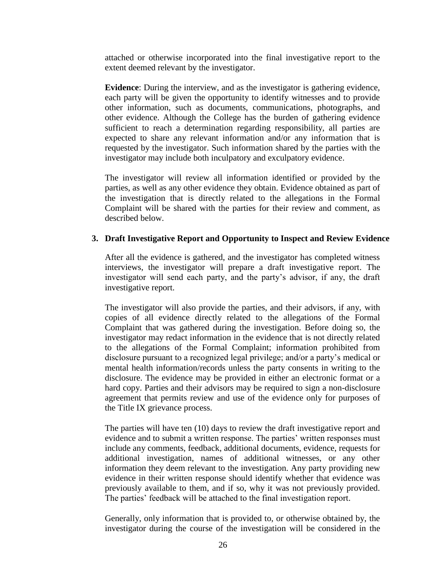attached or otherwise incorporated into the final investigative report to the extent deemed relevant by the investigator.

**Evidence**: During the interview, and as the investigator is gathering evidence, each party will be given the opportunity to identify witnesses and to provide other information, such as documents, communications, photographs, and other evidence. Although the College has the burden of gathering evidence sufficient to reach a determination regarding responsibility, all parties are expected to share any relevant information and/or any information that is requested by the investigator. Such information shared by the parties with the investigator may include both inculpatory and exculpatory evidence.

The investigator will review all information identified or provided by the parties, as well as any other evidence they obtain. Evidence obtained as part of the investigation that is directly related to the allegations in the Formal Complaint will be shared with the parties for their review and comment, as described below.

#### <span id="page-25-0"></span>**3. Draft Investigative Report and Opportunity to Inspect and Review Evidence**

After all the evidence is gathered, and the investigator has completed witness interviews, the investigator will prepare a draft investigative report. The investigator will send each party, and the party's advisor, if any, the draft investigative report.

The investigator will also provide the parties, and their advisors, if any, with copies of all evidence directly related to the allegations of the Formal Complaint that was gathered during the investigation. Before doing so, the investigator may redact information in the evidence that is not directly related to the allegations of the Formal Complaint; information prohibited from disclosure pursuant to a recognized legal privilege; and/or a party's medical or mental health information/records unless the party consents in writing to the disclosure. The evidence may be provided in either an electronic format or a hard copy. Parties and their advisors may be required to sign a non-disclosure agreement that permits review and use of the evidence only for purposes of the Title IX grievance process.

The parties will have ten (10) days to review the draft investigative report and evidence and to submit a written response. The parties' written responses must include any comments, feedback, additional documents, evidence, requests for additional investigation, names of additional witnesses, or any other information they deem relevant to the investigation. Any party providing new evidence in their written response should identify whether that evidence was previously available to them, and if so, why it was not previously provided. The parties' feedback will be attached to the final investigation report.

Generally, only information that is provided to, or otherwise obtained by, the investigator during the course of the investigation will be considered in the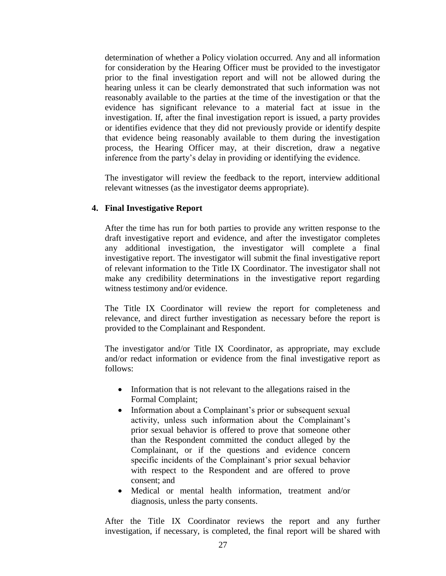determination of whether a Policy violation occurred. Any and all information for consideration by the Hearing Officer must be provided to the investigator prior to the final investigation report and will not be allowed during the hearing unless it can be clearly demonstrated that such information was not reasonably available to the parties at the time of the investigation or that the evidence has significant relevance to a material fact at issue in the investigation. If, after the final investigation report is issued, a party provides or identifies evidence that they did not previously provide or identify despite that evidence being reasonably available to them during the investigation process, the Hearing Officer may, at their discretion, draw a negative inference from the party's delay in providing or identifying the evidence.

The investigator will review the feedback to the report, interview additional relevant witnesses (as the investigator deems appropriate).

#### <span id="page-26-0"></span>**4. Final Investigative Report**

After the time has run for both parties to provide any written response to the draft investigative report and evidence, and after the investigator completes any additional investigation, the investigator will complete a final investigative report. The investigator will submit the final investigative report of relevant information to the Title IX Coordinator. The investigator shall not make any credibility determinations in the investigative report regarding witness testimony and/or evidence.

The Title IX Coordinator will review the report for completeness and relevance, and direct further investigation as necessary before the report is provided to the Complainant and Respondent.

The investigator and/or Title IX Coordinator, as appropriate, may exclude and/or redact information or evidence from the final investigative report as follows:

- Information that is not relevant to the allegations raised in the Formal Complaint;
- Information about a Complainant's prior or subsequent sexual activity, unless such information about the Complainant's prior sexual behavior is offered to prove that someone other than the Respondent committed the conduct alleged by the Complainant, or if the questions and evidence concern specific incidents of the Complainant's prior sexual behavior with respect to the Respondent and are offered to prove consent; and
- Medical or mental health information, treatment and/or diagnosis, unless the party consents.

After the Title IX Coordinator reviews the report and any further investigation, if necessary, is completed, the final report will be shared with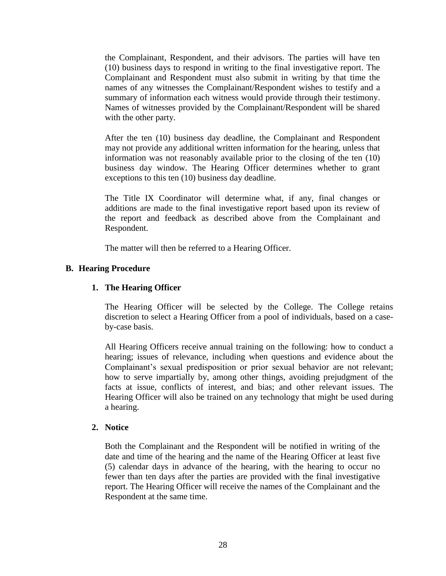the Complainant, Respondent, and their advisors. The parties will have ten (10) business days to respond in writing to the final investigative report. The Complainant and Respondent must also submit in writing by that time the names of any witnesses the Complainant/Respondent wishes to testify and a summary of information each witness would provide through their testimony. Names of witnesses provided by the Complainant/Respondent will be shared with the other party.

After the ten (10) business day deadline, the Complainant and Respondent may not provide any additional written information for the hearing, unless that information was not reasonably available prior to the closing of the ten (10) business day window. The Hearing Officer determines whether to grant exceptions to this ten (10) business day deadline.

The Title IX Coordinator will determine what, if any, final changes or additions are made to the final investigative report based upon its review of the report and feedback as described above from the Complainant and Respondent.

The matter will then be referred to a Hearing Officer.

#### <span id="page-27-1"></span><span id="page-27-0"></span>**B. Hearing Procedure**

#### **1. The Hearing Officer**

The Hearing Officer will be selected by the College. The College retains discretion to select a Hearing Officer from a pool of individuals, based on a caseby-case basis.

All Hearing Officers receive annual training on the following: how to conduct a hearing; issues of relevance, including when questions and evidence about the Complainant's sexual predisposition or prior sexual behavior are not relevant; how to serve impartially by, among other things, avoiding prejudgment of the facts at issue, conflicts of interest, and bias; and other relevant issues. The Hearing Officer will also be trained on any technology that might be used during a hearing.

#### <span id="page-27-2"></span>**2. Notice**

Both the Complainant and the Respondent will be notified in writing of the date and time of the hearing and the name of the Hearing Officer at least five (5) calendar days in advance of the hearing, with the hearing to occur no fewer than ten days after the parties are provided with the final investigative report. The Hearing Officer will receive the names of the Complainant and the Respondent at the same time.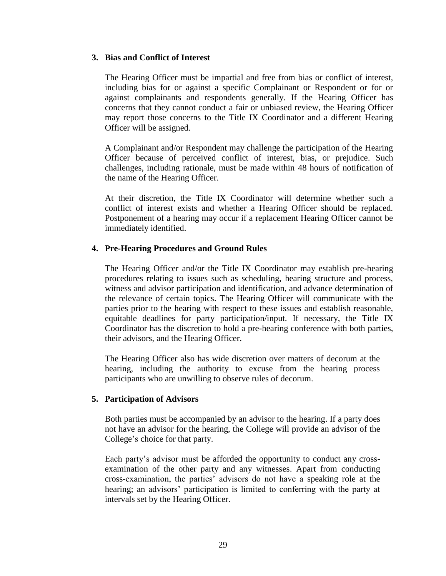#### <span id="page-28-0"></span>**3. Bias and Conflict of Interest**

The Hearing Officer must be impartial and free from bias or conflict of interest, including bias for or against a specific Complainant or Respondent or for or against complainants and respondents generally. If the Hearing Officer has concerns that they cannot conduct a fair or unbiased review, the Hearing Officer may report those concerns to the Title IX Coordinator and a different Hearing Officer will be assigned.

A Complainant and/or Respondent may challenge the participation of the Hearing Officer because of perceived conflict of interest, bias, or prejudice. Such challenges, including rationale, must be made within 48 hours of notification of the name of the Hearing Officer.

At their discretion, the Title IX Coordinator will determine whether such a conflict of interest exists and whether a Hearing Officer should be replaced. Postponement of a hearing may occur if a replacement Hearing Officer cannot be immediately identified.

#### <span id="page-28-1"></span>**4. Pre-Hearing Procedures and Ground Rules**

The Hearing Officer and/or the Title IX Coordinator may establish pre-hearing procedures relating to issues such as scheduling, hearing structure and process, witness and advisor participation and identification, and advance determination of the relevance of certain topics. The Hearing Officer will communicate with the parties prior to the hearing with respect to these issues and establish reasonable, equitable deadlines for party participation/input. If necessary, the Title IX Coordinator has the discretion to hold a pre-hearing conference with both parties, their advisors, and the Hearing Officer.

The Hearing Officer also has wide discretion over matters of decorum at the hearing, including the authority to excuse from the hearing process participants who are unwilling to observe rules of decorum.

#### <span id="page-28-2"></span>**5. Participation of Advisors**

Both parties must be accompanied by an advisor to the hearing. If a party does not have an advisor for the hearing, the College will provide an advisor of the College's choice for that party.

Each party's advisor must be afforded the opportunity to conduct any crossexamination of the other party and any witnesses. Apart from conducting cross-examination, the parties' advisors do not have a speaking role at the hearing; an advisors' participation is limited to conferring with the party at intervals set by the Hearing Officer.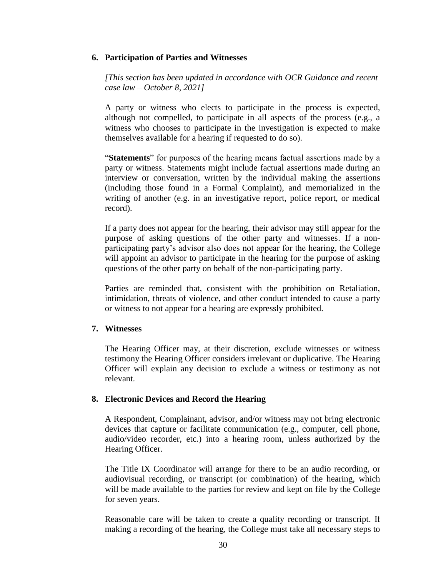#### <span id="page-29-0"></span>**6. Participation of Parties and Witnesses**

*[This section has been updated in accordance with OCR Guidance and recent case law – October 8, 2021]*

A party or witness who elects to participate in the process is expected, although not compelled, to participate in all aspects of the process (e.g., a witness who chooses to participate in the investigation is expected to make themselves available for a hearing if requested to do so).

"**Statements**" for purposes of the hearing means factual assertions made by a party or witness. Statements might include factual assertions made during an interview or conversation, written by the individual making the assertions (including those found in a Formal Complaint), and memorialized in the writing of another (e.g. in an investigative report, police report, or medical record).

If a party does not appear for the hearing, their advisor may still appear for the purpose of asking questions of the other party and witnesses. If a nonparticipating party's advisor also does not appear for the hearing, the College will appoint an advisor to participate in the hearing for the purpose of asking questions of the other party on behalf of the non-participating party.

Parties are reminded that, consistent with the prohibition on Retaliation, intimidation, threats of violence, and other conduct intended to cause a party or witness to not appear for a hearing are expressly prohibited.

#### <span id="page-29-1"></span>**7. Witnesses**

The Hearing Officer may, at their discretion, exclude witnesses or witness testimony the Hearing Officer considers irrelevant or duplicative. The Hearing Officer will explain any decision to exclude a witness or testimony as not relevant.

#### <span id="page-29-2"></span>**8. Electronic Devices and Record the Hearing**

A Respondent, Complainant, advisor, and/or witness may not bring electronic devices that capture or facilitate communication (e.g., computer, cell phone, audio/video recorder, etc.) into a hearing room, unless authorized by the Hearing Officer.

The Title IX Coordinator will arrange for there to be an audio recording, or audiovisual recording, or transcript (or combination) of the hearing, which will be made available to the parties for review and kept on file by the College for seven years.

Reasonable care will be taken to create a quality recording or transcript. If making a recording of the hearing, the College must take all necessary steps to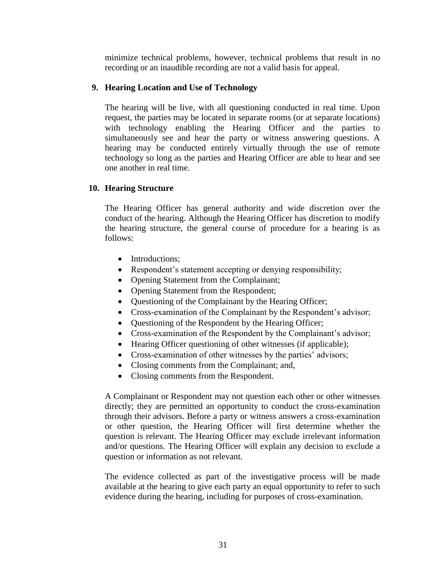minimize technical problems, however, technical problems that result in no recording or an inaudible recording are not a valid basis for appeal.

## <span id="page-30-0"></span>**9. Hearing Location and Use of Technology**

The hearing will be live, with all questioning conducted in real time. Upon request, the parties may be located in separate rooms (or at separate locations) with technology enabling the Hearing Officer and the parties to simultaneously see and hear the party or witness answering questions. A hearing may be conducted entirely virtually through the use of remote technology so long as the parties and Hearing Officer are able to hear and see one another in real time.

#### <span id="page-30-1"></span>**10. Hearing Structure**

The Hearing Officer has general authority and wide discretion over the conduct of the hearing. Although the Hearing Officer has discretion to modify the hearing structure, the general course of procedure for a hearing is as follows:

- Introductions;
- Respondent's statement accepting or denying responsibility;
- Opening Statement from the Complainant;
- Opening Statement from the Respondent;
- Questioning of the Complainant by the Hearing Officer;
- Cross-examination of the Complainant by the Respondent's advisor;
- Questioning of the Respondent by the Hearing Officer;
- Cross-examination of the Respondent by the Complainant's advisor;
- Hearing Officer questioning of other witnesses (if applicable);
- Cross-examination of other witnesses by the parties' advisors;
- Closing comments from the Complainant; and,
- Closing comments from the Respondent.

A Complainant or Respondent may not question each other or other witnesses directly; they are permitted an opportunity to conduct the cross-examination through their advisors. Before a party or witness answers a cross-examination or other question, the Hearing Officer will first determine whether the question is relevant. The Hearing Officer may exclude irrelevant information and/or questions. The Hearing Officer will explain any decision to exclude a question or information as not relevant.

The evidence collected as part of the investigative process will be made available at the hearing to give each party an equal opportunity to refer to such evidence during the hearing, including for purposes of cross-examination.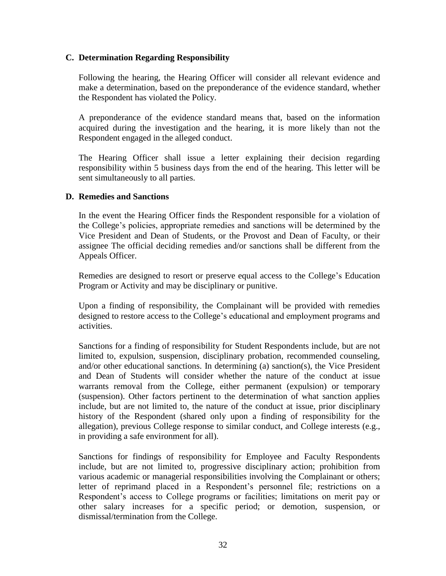#### <span id="page-31-0"></span>**C. Determination Regarding Responsibility**

Following the hearing, the Hearing Officer will consider all relevant evidence and make a determination, based on the preponderance of the evidence standard, whether the Respondent has violated the Policy.

A preponderance of the evidence standard means that, based on the information acquired during the investigation and the hearing, it is more likely than not the Respondent engaged in the alleged conduct.

The Hearing Officer shall issue a letter explaining their decision regarding responsibility within 5 business days from the end of the hearing. This letter will be sent simultaneously to all parties.

#### <span id="page-31-1"></span>**D. Remedies and Sanctions**

In the event the Hearing Officer finds the Respondent responsible for a violation of the College's policies, appropriate remedies and sanctions will be determined by the Vice President and Dean of Students, or the Provost and Dean of Faculty, or their assignee The official deciding remedies and/or sanctions shall be different from the Appeals Officer.

Remedies are designed to resort or preserve equal access to the College's Education Program or Activity and may be disciplinary or punitive.

Upon a finding of responsibility, the Complainant will be provided with remedies designed to restore access to the College's educational and employment programs and activities.

Sanctions for a finding of responsibility for Student Respondents include, but are not limited to, expulsion, suspension, disciplinary probation, recommended counseling, and/or other educational sanctions. In determining (a) sanction(s), the Vice President and Dean of Students will consider whether the nature of the conduct at issue warrants removal from the College, either permanent (expulsion) or temporary (suspension). Other factors pertinent to the determination of what sanction applies include, but are not limited to, the nature of the conduct at issue, prior disciplinary history of the Respondent (shared only upon a finding of responsibility for the allegation), previous College response to similar conduct, and College interests (e.g., in providing a safe environment for all).

Sanctions for findings of responsibility for Employee and Faculty Respondents include, but are not limited to, progressive disciplinary action; prohibition from various academic or managerial responsibilities involving the Complainant or others; letter of reprimand placed in a Respondent's personnel file; restrictions on a Respondent's access to College programs or facilities; limitations on merit pay or other salary increases for a specific period; or demotion, suspension, or dismissal/termination from the College.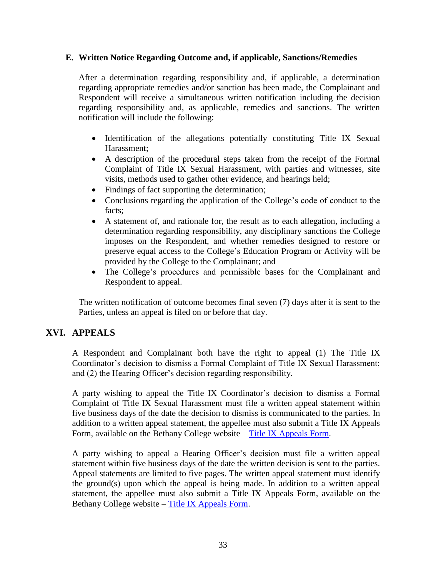#### <span id="page-32-0"></span>**E. Written Notice Regarding Outcome and, if applicable, Sanctions/Remedies**

After a determination regarding responsibility and, if applicable, a determination regarding appropriate remedies and/or sanction has been made, the Complainant and Respondent will receive a simultaneous written notification including the decision regarding responsibility and, as applicable, remedies and sanctions. The written notification will include the following:

- Identification of the allegations potentially constituting Title IX Sexual Harassment;
- A description of the procedural steps taken from the receipt of the Formal Complaint of Title IX Sexual Harassment, with parties and witnesses, site visits, methods used to gather other evidence, and hearings held;
- Findings of fact supporting the determination;
- Conclusions regarding the application of the College's code of conduct to the facts;
- A statement of, and rationale for, the result as to each allegation, including a determination regarding responsibility, any disciplinary sanctions the College imposes on the Respondent, and whether remedies designed to restore or preserve equal access to the College's Education Program or Activity will be provided by the College to the Complainant; and
- The College's procedures and permissible bases for the Complainant and Respondent to appeal.

The written notification of outcome becomes final seven (7) days after it is sent to the Parties, unless an appeal is filed on or before that day.

# <span id="page-32-1"></span>**XVI. APPEALS**

A Respondent and Complainant both have the right to appeal (1) The Title IX Coordinator's decision to dismiss a Formal Complaint of Title IX Sexual Harassment; and (2) the Hearing Officer's decision regarding responsibility.

A party wishing to appeal the Title IX Coordinator's decision to dismiss a Formal Complaint of Title IX Sexual Harassment must file a written appeal statement within five business days of the date the decision to dismiss is communicated to the parties. In addition to a written appeal statement, the appellee must also submit a Title IX Appeals Form, available on the Bethany College website – [Title IX Appeals Form.](https://www.bethanywv.edu/student-life/title-ix/reporting-forms/#1518454439331-d17e509e-273e)

A party wishing to appeal a Hearing Officer's decision must file a written appeal statement within five business days of the date the written decision is sent to the parties. Appeal statements are limited to five pages. The written appeal statement must identify the ground(s) upon which the appeal is being made. In addition to a written appeal statement, the appellee must also submit a Title IX Appeals Form, available on the Bethany College website – [Title IX Appeals Form.](https://www.bethanywv.edu/student-life/title-ix/reporting-forms/#1518454439331-d17e509e-273e)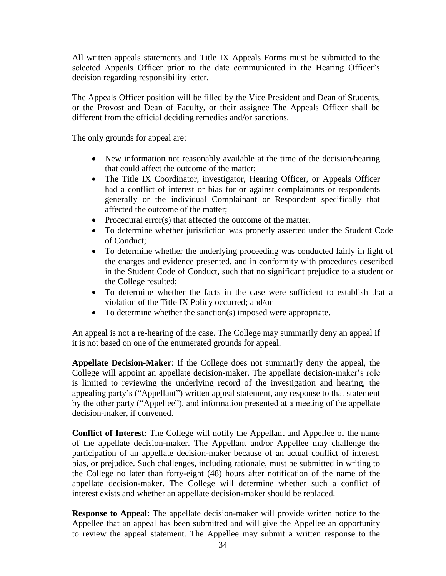All written appeals statements and Title IX Appeals Forms must be submitted to the selected Appeals Officer prior to the date communicated in the Hearing Officer's decision regarding responsibility letter.

The Appeals Officer position will be filled by the Vice President and Dean of Students, or the Provost and Dean of Faculty, or their assignee The Appeals Officer shall be different from the official deciding remedies and/or sanctions.

The only grounds for appeal are:

- New information not reasonably available at the time of the decision/hearing that could affect the outcome of the matter;
- The Title IX Coordinator, investigator, Hearing Officer, or Appeals Officer had a conflict of interest or bias for or against complainants or respondents generally or the individual Complainant or Respondent specifically that affected the outcome of the matter;
- Procedural error(s) that affected the outcome of the matter.
- To determine whether jurisdiction was properly asserted under the Student Code of Conduct;
- To determine whether the underlying proceeding was conducted fairly in light of the charges and evidence presented, and in conformity with procedures described in the Student Code of Conduct, such that no significant prejudice to a student or the College resulted;
- To determine whether the facts in the case were sufficient to establish that a violation of the Title IX Policy occurred; and/or
- To determine whether the sanction(s) imposed were appropriate.

An appeal is not a re-hearing of the case. The College may summarily deny an appeal if it is not based on one of the enumerated grounds for appeal.

**Appellate Decision-Maker**: If the College does not summarily deny the appeal, the College will appoint an appellate decision-maker. The appellate decision-maker's role is limited to reviewing the underlying record of the investigation and hearing, the appealing party's ("Appellant") written appeal statement, any response to that statement by the other party ("Appellee"), and information presented at a meeting of the appellate decision-maker, if convened.

**Conflict of Interest**: The College will notify the Appellant and Appellee of the name of the appellate decision-maker. The Appellant and/or Appellee may challenge the participation of an appellate decision-maker because of an actual conflict of interest, bias, or prejudice. Such challenges, including rationale, must be submitted in writing to the College no later than forty-eight (48) hours after notification of the name of the appellate decision-maker. The College will determine whether such a conflict of interest exists and whether an appellate decision-maker should be replaced.

**Response to Appeal**: The appellate decision-maker will provide written notice to the Appellee that an appeal has been submitted and will give the Appellee an opportunity to review the appeal statement. The Appellee may submit a written response to the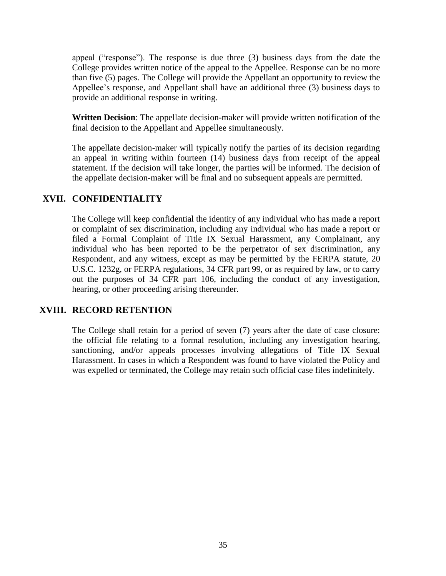appeal ("response"). The response is due three (3) business days from the date the College provides written notice of the appeal to the Appellee. Response can be no more than five (5) pages. The College will provide the Appellant an opportunity to review the Appellee's response, and Appellant shall have an additional three (3) business days to provide an additional response in writing.

**Written Decision**: The appellate decision-maker will provide written notification of the final decision to the Appellant and Appellee simultaneously.

The appellate decision-maker will typically notify the parties of its decision regarding an appeal in writing within fourteen (14) business days from receipt of the appeal statement. If the decision will take longer, the parties will be informed. The decision of the appellate decision-maker will be final and no subsequent appeals are permitted.

## <span id="page-34-0"></span>**XVII. CONFIDENTIALITY**

The College will keep confidential the identity of any individual who has made a report or complaint of sex discrimination, including any individual who has made a report or filed a Formal Complaint of Title IX Sexual Harassment, any Complainant, any individual who has been reported to be the perpetrator of sex discrimination, any Respondent, and any witness, except as may be permitted by the FERPA statute, 20 U.S.C. 1232g, or FERPA regulations, 34 CFR part 99, or as required by law, or to carry out the purposes of 34 CFR part 106, including the conduct of any investigation, hearing, or other proceeding arising thereunder.

## <span id="page-34-1"></span>**XVIII. RECORD RETENTION**

<span id="page-34-2"></span>The College shall retain for a period of seven (7) years after the date of case closure: the official file relating to a formal resolution, including any investigation hearing, sanctioning, and/or appeals processes involving allegations of Title IX Sexual Harassment. In cases in which a Respondent was found to have violated the Policy and was expelled or terminated, the College may retain such official case files indefinitely.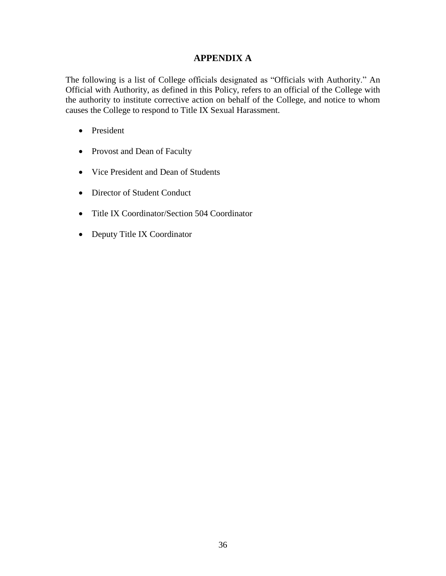## **APPENDIX A**

The following is a list of College officials designated as "Officials with Authority." An Official with Authority, as defined in this Policy, refers to an official of the College with the authority to institute corrective action on behalf of the College, and notice to whom causes the College to respond to Title IX Sexual Harassment.

- President
- Provost and Dean of Faculty
- Vice President and Dean of Students
- Director of Student Conduct
- Title IX Coordinator/Section 504 Coordinator
- Deputy Title IX Coordinator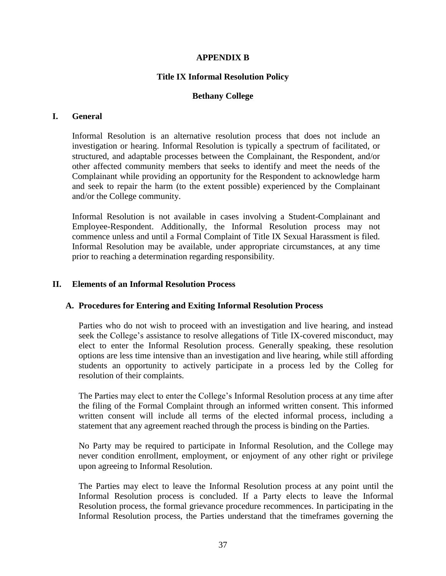#### **APPENDIX B**

#### **Title IX Informal Resolution Policy**

#### **Bethany College**

#### <span id="page-36-2"></span><span id="page-36-1"></span><span id="page-36-0"></span>**I. General**

Informal Resolution is an alternative resolution process that does not include an investigation or hearing. Informal Resolution is typically a spectrum of facilitated, or structured, and adaptable processes between the Complainant, the Respondent, and/or other affected community members that seeks to identify and meet the needs of the Complainant while providing an opportunity for the Respondent to acknowledge harm and seek to repair the harm (to the extent possible) experienced by the Complainant and/or the College community.

Informal Resolution is not available in cases involving a Student-Complainant and Employee-Respondent. Additionally, the Informal Resolution process may not commence unless and until a Formal Complaint of Title IX Sexual Harassment is filed. Informal Resolution may be available, under appropriate circumstances, at any time prior to reaching a determination regarding responsibility.

#### <span id="page-36-3"></span>**II. Elements of an Informal Resolution Process**

#### **A. Procedures for Entering and Exiting Informal Resolution Process**

Parties who do not wish to proceed with an investigation and live hearing, and instead seek the College's assistance to resolve allegations of Title IX-covered misconduct, may elect to enter the Informal Resolution process. Generally speaking, these resolution options are less time intensive than an investigation and live hearing, while still affording students an opportunity to actively participate in a process led by the Colleg for resolution of their complaints.

The Parties may elect to enter the College's Informal Resolution process at any time after the filing of the Formal Complaint through an informed written consent. This informed written consent will include all terms of the elected informal process, including a statement that any agreement reached through the process is binding on the Parties.

No Party may be required to participate in Informal Resolution, and the College may never condition enrollment, employment, or enjoyment of any other right or privilege upon agreeing to Informal Resolution.

The Parties may elect to leave the Informal Resolution process at any point until the Informal Resolution process is concluded. If a Party elects to leave the Informal Resolution process, the formal grievance procedure recommences. In participating in the Informal Resolution process, the Parties understand that the timeframes governing the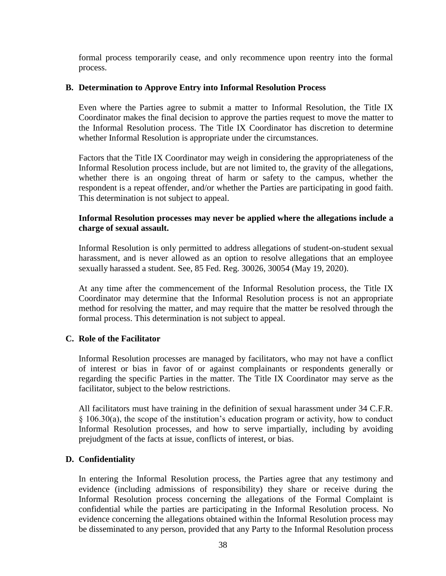formal process temporarily cease, and only recommence upon reentry into the formal process.

#### **B. Determination to Approve Entry into Informal Resolution Process**

Even where the Parties agree to submit a matter to Informal Resolution, the Title IX Coordinator makes the final decision to approve the parties request to move the matter to the Informal Resolution process. The Title IX Coordinator has discretion to determine whether Informal Resolution is appropriate under the circumstances.

Factors that the Title IX Coordinator may weigh in considering the appropriateness of the Informal Resolution process include, but are not limited to, the gravity of the allegations, whether there is an ongoing threat of harm or safety to the campus, whether the respondent is a repeat offender, and/or whether the Parties are participating in good faith. This determination is not subject to appeal.

#### **Informal Resolution processes may never be applied where the allegations include a charge of sexual assault.**

Informal Resolution is only permitted to address allegations of student-on-student sexual harassment, and is never allowed as an option to resolve allegations that an employee sexually harassed a student. See, 85 Fed. Reg. 30026, 30054 (May 19, 2020).

At any time after the commencement of the Informal Resolution process, the Title IX Coordinator may determine that the Informal Resolution process is not an appropriate method for resolving the matter, and may require that the matter be resolved through the formal process. This determination is not subject to appeal.

#### **C. Role of the Facilitator**

Informal Resolution processes are managed by facilitators, who may not have a conflict of interest or bias in favor of or against complainants or respondents generally or regarding the specific Parties in the matter. The Title IX Coordinator may serve as the facilitator, subject to the below restrictions.

All facilitators must have training in the definition of sexual harassment under 34 C.F.R. § 106.30(a), the scope of the institution's education program or activity, how to conduct Informal Resolution processes, and how to serve impartially, including by avoiding prejudgment of the facts at issue, conflicts of interest, or bias.

#### **D. Confidentiality**

In entering the Informal Resolution process, the Parties agree that any testimony and evidence (including admissions of responsibility) they share or receive during the Informal Resolution process concerning the allegations of the Formal Complaint is confidential while the parties are participating in the Informal Resolution process. No evidence concerning the allegations obtained within the Informal Resolution process may be disseminated to any person, provided that any Party to the Informal Resolution process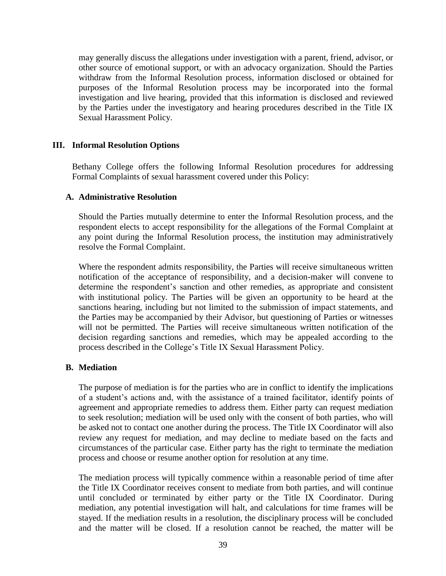may generally discuss the allegations under investigation with a parent, friend, advisor, or other source of emotional support, or with an advocacy organization. Should the Parties withdraw from the Informal Resolution process, information disclosed or obtained for purposes of the Informal Resolution process may be incorporated into the formal investigation and live hearing, provided that this information is disclosed and reviewed by the Parties under the investigatory and hearing procedures described in the Title IX Sexual Harassment Policy.

#### <span id="page-38-0"></span>**III. Informal Resolution Options**

Bethany College offers the following Informal Resolution procedures for addressing Formal Complaints of sexual harassment covered under this Policy:

#### **A. Administrative Resolution**

Should the Parties mutually determine to enter the Informal Resolution process, and the respondent elects to accept responsibility for the allegations of the Formal Complaint at any point during the Informal Resolution process, the institution may administratively resolve the Formal Complaint.

Where the respondent admits responsibility, the Parties will receive simultaneous written notification of the acceptance of responsibility, and a decision-maker will convene to determine the respondent's sanction and other remedies, as appropriate and consistent with institutional policy. The Parties will be given an opportunity to be heard at the sanctions hearing, including but not limited to the submission of impact statements, and the Parties may be accompanied by their Advisor, but questioning of Parties or witnesses will not be permitted. The Parties will receive simultaneous written notification of the decision regarding sanctions and remedies, which may be appealed according to the process described in the College's Title IX Sexual Harassment Policy.

#### **B. Mediation**

The purpose of mediation is for the parties who are in conflict to identify the implications of a student's actions and, with the assistance of a trained facilitator, identify points of agreement and appropriate remedies to address them. Either party can request mediation to seek resolution; mediation will be used only with the consent of both parties, who will be asked not to contact one another during the process. The Title IX Coordinator will also review any request for mediation, and may decline to mediate based on the facts and circumstances of the particular case. Either party has the right to terminate the mediation process and choose or resume another option for resolution at any time.

The mediation process will typically commence within a reasonable period of time after the Title IX Coordinator receives consent to mediate from both parties, and will continue until concluded or terminated by either party or the Title IX Coordinator. During mediation, any potential investigation will halt, and calculations for time frames will be stayed. If the mediation results in a resolution, the disciplinary process will be concluded and the matter will be closed. If a resolution cannot be reached, the matter will be